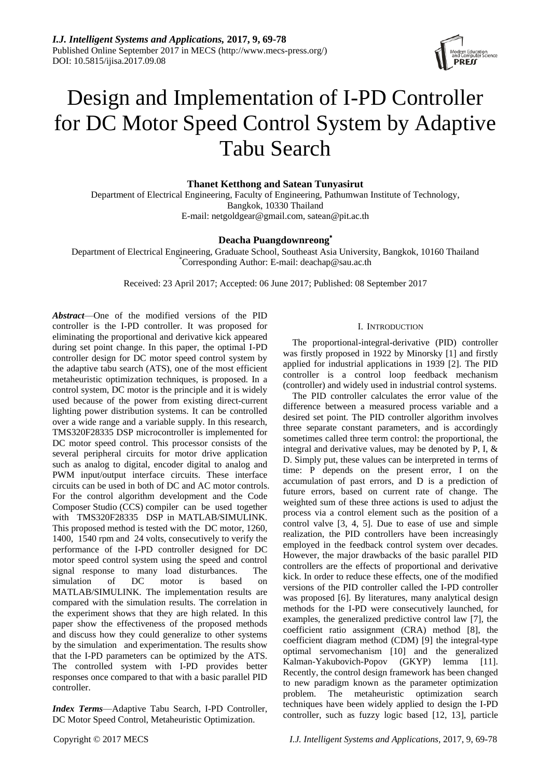

# Design and Implementation of I-PD Controller for DC Motor Speed Control System by Adaptive Tabu Search

**Thanet Ketthong and Satean Tunyasirut**

Department of Electrical Engineering, Faculty of Engineering, Pathumwan Institute of Technology, Bangkok, 10330 Thailand E-mail: [netgoldgear@gmail.com,](mailto:netgoldgear@gmail.com) satean@pit.ac.th

## **Deacha Puangdownreong**\*

Department of Electrical Engineering, Graduate School, Southeast Asia University, Bangkok, 10160 Thailand \*Corresponding Author: E-mail: deachap@sau.ac.th

Received: 23 April 2017; Accepted: 06 June 2017; Published: 08 September 2017

*Abstract*—One of the modified versions of the PID controller is the I-PD controller. It was proposed for eliminating the proportional and derivative kick appeared during set point change. In this paper, the optimal I-PD controller design for DC motor speed control system by the adaptive tabu search (ATS), one of the most efficient metaheuristic optimization techniques, is proposed. In a control system, DC motor is the principle and it is widely used because of the power from existing direct-current lighting power distribution systems. It can be controlled over a wide range and a variable supply. In this research, TMS320F28335 DSP microcontroller is implemented for DC motor speed control. This processor consists of the several peripheral circuits for motor drive application such as analog to digital, encoder digital to analog and PWM input/output interface circuits. These interface circuits can be used in both of DC and AC motor controls. For the control algorithm development and the Code Composer Studio (CCS) compiler can be used together with TMS320F28335 DSP in MATLAB/SIMULINK. This proposed method is tested with the DC motor, 1260, 1400, 1540 rpm and 24 volts, consecutively to verify the performance of the I-PD controller designed for DC motor speed control system using the speed and control signal response to many load disturbances. The simulation of DC motor is based on MATLAB/SIMULINK. The implementation results are compared with the simulation results. The correlation in the experiment shows that they are high related. In this paper show the effectiveness of the proposed methods and discuss how they could generalize to other systems by the simulation and experimentation. The results show that the I-PD parameters can be optimized by the ATS. The controlled system with I-PD provides better responses once compared to that with a basic parallel PID controller.

*Index Terms*—Adaptive Tabu Search, I-PD Controller, DC Motor Speed Control, Metaheuristic Optimization.

## I. INTRODUCTION

The proportional-integral-derivative (PID) controller was firstly proposed in 1922 by Minorsky [1] and firstly applied for industrial applications in 1939 [2]. The PID controller is a control loop feedback mechanism (controller) and widely used in industrial control systems.

The PID controller calculates the error value of the difference between a measured process variable and a desired set point. The PID controller algorithm involves three separate constant parameters, and is accordingly sometimes called three term control: the proportional, the integral and derivative values, may be denoted by P, I, & D. Simply put, these values can be interpreted in terms of time: P depends on the present error, I on the accumulation of past errors, and D is a prediction of future errors, based on current rate of change. The weighted sum of these three actions is used to adjust the process via a control element such as the position of a control valve [3, 4, 5]. Due to ease of use and simple realization, the PID controllers have been increasingly employed in the feedback control system over decades. However, the major drawbacks of the basic parallel PID controllers are the effects of proportional and derivative kick. In order to reduce these effects, one of the modified versions of the PID controller called the I-PD controller was proposed [6]. By literatures, many analytical design methods for the I-PD were consecutively launched, for examples, the generalized predictive control law [7], the coefficient ratio assignment (CRA) method [8], the coefficient diagram method (CDM) [9] the integral-type optimal servomechanism [10] and the generalized Kalman-Yakubovich-Popov (GKYP) lemma [11]. Recently, the control design framework has been changed to new paradigm known as the parameter optimization problem. The metaheuristic optimization search techniques have been widely applied to design the I-PD controller, such as fuzzy logic based [12, 13], particle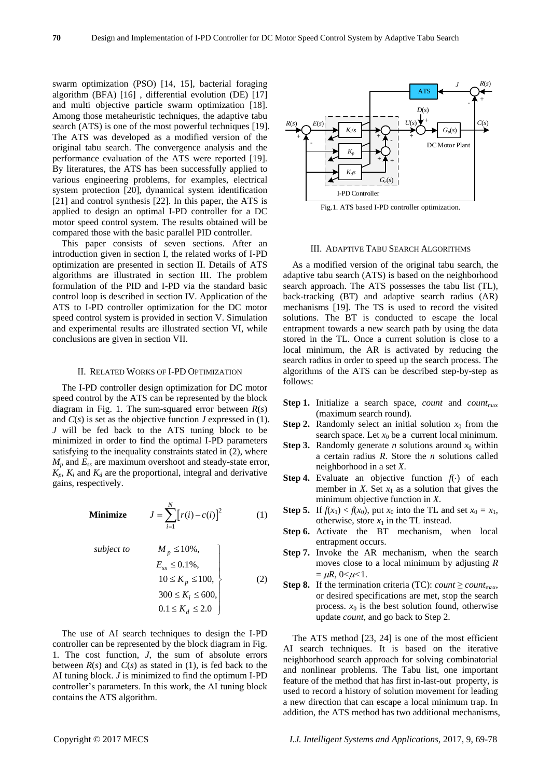swarm optimization (PSO) [14, 15], bacterial foraging algorithm (BFA) [16] , differential evolution (DE) [17] and multi objective particle swarm optimization [18]. Among those metaheuristic techniques, the adaptive tabu search (ATS) is one of the most powerful techniques [19]. The ATS was developed as a modified version of the original tabu search. The convergence analysis and the performance evaluation of the ATS were reported [19]. By literatures, the ATS has been successfully applied to various engineering problems, for examples, electrical system protection [20], dynamical system identification [21] and control synthesis [22]. In this paper, the ATS is applied to design an optimal I-PD controller for a DC motor speed control system. The results obtained will be compared those with the basic parallel PID controller.

This paper consists of seven sections. After an introduction given in section I, the related works of I-PD optimization are presented in section II. Details of ATS algorithms are illustrated in section III. The problem formulation of the PID and I-PD via the standard basic control loop is described in section IV. Application of the ATS to I-PD controller optimization for the DC motor speed control system is provided in section V. Simulation and experimental results are illustrated section VI, while conclusions are given in section VII.

## II. RELATED WORKS OF I-PD OPTIMIZATION

The I-PD controller design optimization for DC motor speed control by the ATS can be represented by the block diagram in Fig. 1. The sum-squared error between *R*(*s*) and *C*(*s*) is set as the objective function *J* expressed in (1). *J* will be fed back to the ATS tuning block to be minimized in order to find the optimal I-PD parameters satisfying to the inequality constraints stated in (2), where  $M_p$  and  $E_{ss}$  are maximum overshoot and steady-state error,  $K_p$ ,  $K_i$  and  $K_d$  are the proportional, integral and derivative gains, respectively.

**Minimize** 
$$
J = \sum_{i=1}^{N} [r(i) - c(i)]^2
$$
 (1)

subject to  
\n
$$
M_p \le 10\%,
$$
\n
$$
E_{ss} \le 0.1\%,
$$
\n
$$
10 \le K_p \le 100,
$$
\n
$$
300 \le K_i \le 600,
$$
\n
$$
0.1 \le K_d \le 2.0
$$
\n(2)

The use of AI search techniques to design the I-PD controller can be represented by the block diagram in Fig. 1. The cost function, *J*, the sum of absolute errors between  $R(s)$  and  $C(s)$  as stated in (1), is fed back to the AI tuning block. *J* is minimized to find the optimum I-PD controller's parameters. In this work, the AI tuning block contains the ATS algorithm.



#### III. ADAPTIVE TABU SEARCH ALGORITHMS

As a modified version of the original tabu search, the adaptive tabu search (ATS) is based on the neighborhood search approach. The ATS possesses the tabu list (TL), back-tracking (BT) and adaptive search radius (AR) mechanisms [19]. The TS is used to record the visited solutions. The BT is conducted to escape the local entrapment towards a new search path by using the data stored in the TL. Once a current solution is close to a local minimum, the AR is activated by reducing the search radius in order to speed up the search process. The algorithms of the ATS can be described step-by-step as follows:

- **Step 1.** Initialize a search space, *count* and *count*max (maximum search round).
- **Step 2.** Randomly select an initial solution  $x_0$  from the search space. Let  $x_0$  be a current local minimum.
- **Step 3.** Randomly generate *n* solutions around  $x_0$  within a certain radius *R*. Store the *n* solutions called neighborhood in a set *X*.
- **Step 4.** Evaluate an objective function  $f(\cdot)$  of each member in *X*. Set  $x_1$  as a solution that gives the minimum objective function in *X*.
- **Step 5.** If  $f(x_1) < f(x_0)$ , put  $x_0$  into the TL and set  $x_0 = x_1$ , otherwise, store  $x_1$  in the TL instead.
- **Step 6.** Activate the BT mechanism, when local entrapment occurs.
- **Step 7.** Invoke the AR mechanism, when the search moves close to a local minimum by adjusting *R*   $= \mu R$ , 0< $\mu$  < 1.
- **Step 8.** If the termination criteria (TC): *count*  $\ge$  *count*<sub>max</sub>, or desired specifications are met, stop the search process.  $x_0$  is the best solution found, otherwise update *count*, and go back to Step 2.

The ATS method [23, 24] is one of the most efficient AI search techniques. It is based on the iterative neighborhood search approach for solving combinatorial and nonlinear problems. The Tabu list, one important feature of the method that has first in-last-out property, is used to record a history of solution movement for leading a new direction that can escape a local minimum trap. In addition, the ATS method has two additional mechanisms,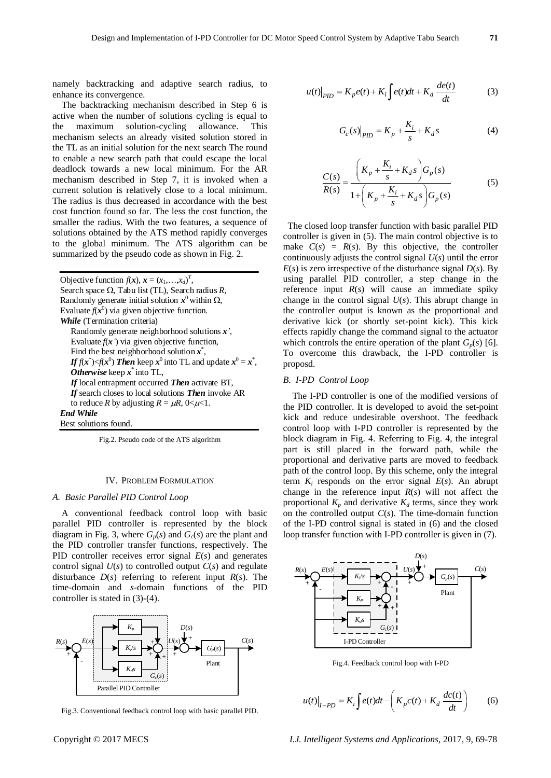namely backtracking and adaptive search radius, to enhance its convergence.

The backtracking mechanism described in Step 6 is active when the number of solutions cycling is equal to the maximum solution-cycling allowance. This mechanism selects an already visited solution stored in the TL as an initial solution for the next search The round to enable a new search path that could escape the local deadlock towards a new local minimum. For the AR mechanism described in Step 7, it is invoked when a current solution is relatively close to a local minimum. The radius is thus decreased in accordance with the best cost function found so far. The less the cost function, the smaller the radius. With the two features, a sequence of solutions obtained by the ATS method rapidly converges to the global minimum. The ATS algorithm can be summarized by the pseudo code as shown in Fig. 2.

Objective function  $f(x)$ ,  $x = (x_1, \ldots, x_d)^T$ , Search space  $\Omega$ , Tabu list (TL), Search radius *R*, Randomly generate initial solution  $x^0$  within  $\Omega$ , Evaluate  $f(x^0)$  via given objective function. *While* (Termination criteria) Randomly generate neighborhood solutions *x'*, Evaluate  $f(x<sup>2</sup>)$  via given objective function, Find the best neighborhood solution  $x^*$ , *If*  $f(x^*) \le f(x^0)$  *Then* keep  $x^0$  into TL and update  $x^0 = x^*$ , *Otherwise* keep *x* \* into TL, *If* local entrapment occurred *Then* activate BT, *If* search closes to local solutions *Then* invoke AR to reduce *R* by adjusting  $R = \mu R$ ,  $0 < \mu < 1$ . *End While* Best solutions found.

Fig.2. Pseudo code of the ATS algorithm

## IV. PROBLEM FORMULATION

## *A. Basic Parallel PID Control Loop*

A conventional feedback control loop with basic parallel PID controller is represented by the block diagram in Fig. 3, where  $G_p(s)$  and  $G_c(s)$  are the plant and the PID controller transfer functions, respectively. The PID controller receives error signal *E*(*s*) and generates control signal  $U(s)$  to controlled output  $C(s)$  and regulate disturbance  $D(s)$  referring to referent input  $R(s)$ . The time-domain and *s*-domain functions of the PID controller is stated in (3)-(4).



Fig.3. Conventional feedback control loop with basic parallel PID.

$$
u(t)|_{PID} = K_p e(t) + K_i \int e(t)dt + K_d \frac{de(t)}{dt}
$$
 (3)

$$
G_c(s)|_{PID} = K_p + \frac{K_i}{s} + K_d s
$$
 (4)

$$
\frac{C(s)}{R(s)} = \frac{\left(K_p + \frac{K_i}{s} + K_d s\right)G_p(s)}{1 + \left(K_p + \frac{K_i}{s} + K_d s\right)G_p(s)}
$$
(5)

The closed loop transfer function with basic parallel PID controller is given in (5). The main control objective is to make  $C(s) = R(s)$ . By this objective, the controller continuously adjusts the control signal *U*(*s*) until the error  $E(s)$  is zero irrespective of the disturbance signal  $D(s)$ . By using parallel PID controller, a step change in the reference input *R*(*s*) will cause an immediate spiky change in the control signal *U*(*s*). This abrupt change in the controller output is known as the proportional and derivative kick (or shortly set-point kick). This kick effects rapidly change the command signal to the actuator which controls the entire operation of the plant  $G_p(s)$  [6]. To overcome this drawback, the I-PD controller is proposd.

#### *B. I-PD Control Loop*

The I-PD controller is one of the modified versions of the PID controller. It is developed to avoid the set-point kick and reduce undesirable overshoot. The feedback control loop with I-PD controller is represented by the block diagram in Fig. 4. Referring to Fig. 4, the integral part is still placed in the forward path, while the proportional and derivative parts are moved to feedback path of the control loop. By this scheme, only the integral term  $K_i$  responds on the error signal  $E(s)$ . An abrupt change in the reference input *R*(*s*) will not affect the proportional  $K_p$  and derivative  $K_d$  terms, since they work on the controlled output *C*(*s*). The time-domain function of the I-PD control signal is stated in (6) and the closed loop transfer function with I-PD controller is given in (7).



Fig.4. Feedback control loop with I-PD

$$
u(t)\big|_{I-PD} = K_i \int e(t)dt - \left(K_p c(t) + K_d \frac{dc(t)}{dt}\right) \tag{6}
$$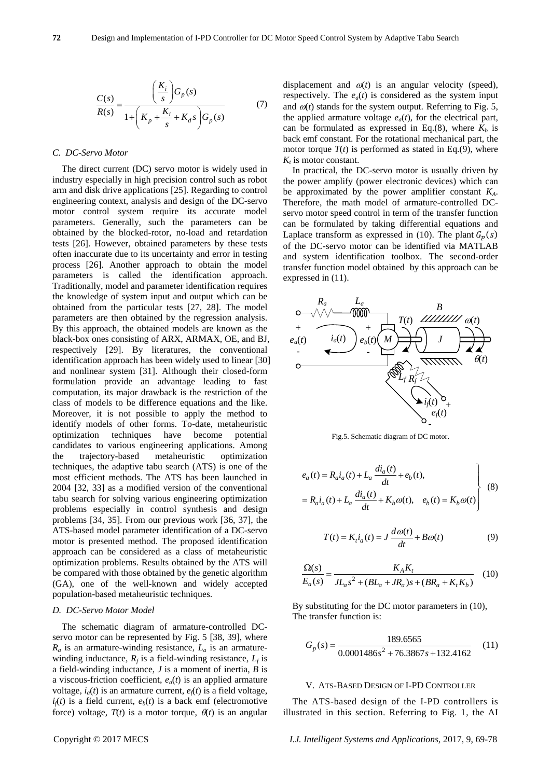$$
\frac{C(s)}{R(s)} = \frac{\left(\frac{K_i}{s}\right)G_p(s)}{1 + \left(K_p + \frac{K_i}{s} + K_d s\right)G_p(s)}\tag{7}
$$

## *C. DC-Servo Motor*

The direct current (DC) servo motor is widely used in industry especially in high precision control such as robot arm and disk drive applications [25]. Regarding to control engineering context, analysis and design of the DC-servo motor control system require its accurate model parameters. Generally, such the parameters can be obtained by the blocked-rotor, no-load and retardation tests [26]. However, obtained parameters by these tests often inaccurate due to its uncertainty and error in testing process [26]. Another approach to obtain the model parameters is called the identification approach. Traditionally, model and parameter identification requires the knowledge of system input and output which can be obtained from the particular tests [27, 28]. The model parameters are then obtained by the regression analysis. By this approach, the obtained models are known as the black-box ones consisting of ARX, ARMAX, OE, and BJ, respectively [29]. By literatures, the conventional identification approach has been widely used to linear [30] and nonlinear system [31]. Although their closed-form formulation provide an advantage leading to fast computation, its major drawback is the restriction of the class of models to be difference equations and the like. Moreover, it is not possible to apply the method to identify models of other forms. To-date, metaheuristic optimization techniques have become potential candidates to various engineering applications. Among the trajectory-based metaheuristic optimization techniques, the adaptive tabu search (ATS) is one of the most efficient methods. The ATS has been launched in 2004 [32, 33] as a modified version of the conventional tabu search for solving various engineering optimization problems especially in control synthesis and design problems [34, 35]. From our previous work [36, 37], the ATS-based model parameter identification of a DC-servo motor is presented method. The proposed identification approach can be considered as a class of metaheuristic optimization problems. Results obtained by the ATS will be compared with those obtained by the genetic algorithm (GA), one of the well-known and widely accepted population-based metaheuristic techniques.

#### *D. DC-Servo Motor Model*

The schematic diagram of armature-controlled DCservo motor can be represented by Fig. 5 [38, 39], where  $R_a$  is an armature-winding resistance,  $L_a$  is an armaturewinding inductance,  $R_f$  is a field-winding resistance,  $L_f$  is a field-winding inductance, *J* is a moment of inertia, *B* is a viscous-friction coefficient, *ea*(*t*) is an applied armature voltage,  $i_a(t)$  is an armature current,  $e_f(t)$  is a field voltage,  $i_f(t)$  is a field current,  $e_b(t)$  is a back emf (electromotive force) voltage,  $T(t)$  is a motor torque,  $\theta(t)$  is an angular

displacement and  $\omega(t)$  is an angular velocity (speed), respectively. The  $e_a(t)$  is considered as the system input and  $\omega(t)$  stands for the system output. Referring to Fig. 5, the applied armature voltage  $e_a(t)$ , for the electrical part, can be formulated as expressed in Eq.(8), where  $K_b$  is back emf constant. For the rotational mechanical part, the motor torque  $T(t)$  is performed as stated in Eq.(9), where  $K_t$  is motor constant.

In practical, the DC-servo motor is usually driven by the power amplify (power electronic devices) which can be approximated by the power amplifier constant *KA*. Therefore, the math model of armature-controlled DCservo motor speed control in term of the transfer function can be formulated by taking differential equations and Laplace transform as expressed in (10). The plant  $G_p(s)$ of the DC-servo motor can be identified via MATLAB and system identification toolbox. The second-order transfer function model obtained by this approach can be expressed in (11).



Fig.5. Schematic diagram of DC motor.

$$
e_a(t) = R_a i_a(t) + L_a \frac{di_a(t)}{dt} + e_b(t),
$$
  
=  $R_a i_a(t) + L_a \frac{di_a(t)}{dt} + K_b \omega(t), \quad e_b(t) = K_b \omega(t)$  (8)

$$
T(t) = K_t i_a(t) = J \frac{d\omega(t)}{dt} + B\omega(t)
$$
\n(9)

$$
\frac{\Omega(s)}{E_a(s)} = \frac{K_A K_t}{J L_a s^2 + (B L_a + J R_a) s + (B R_a + K_t K_b)} \quad (10)
$$

By substituting for the DC motor parameters in (10), The transfer function is:

$$
G_p(s) = \frac{189.6565}{0.0001486s^2 + 76.3867s + 132.4162} \quad (11)
$$

## V. ATS-BASED DESIGN OF I-PD CONTROLLER

The ATS-based design of the I-PD controllers is illustrated in this section. Referring to Fig. 1, the AI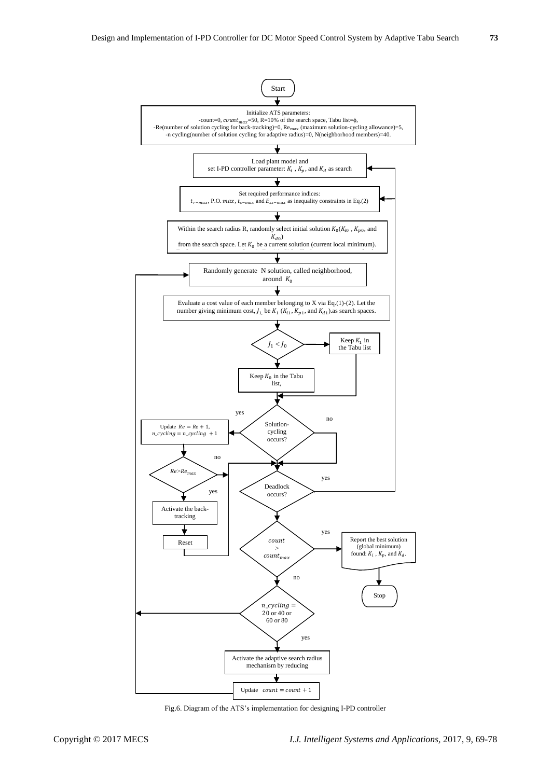

Fig.6. Diagram of the ATS's implementation for designing I-PD controller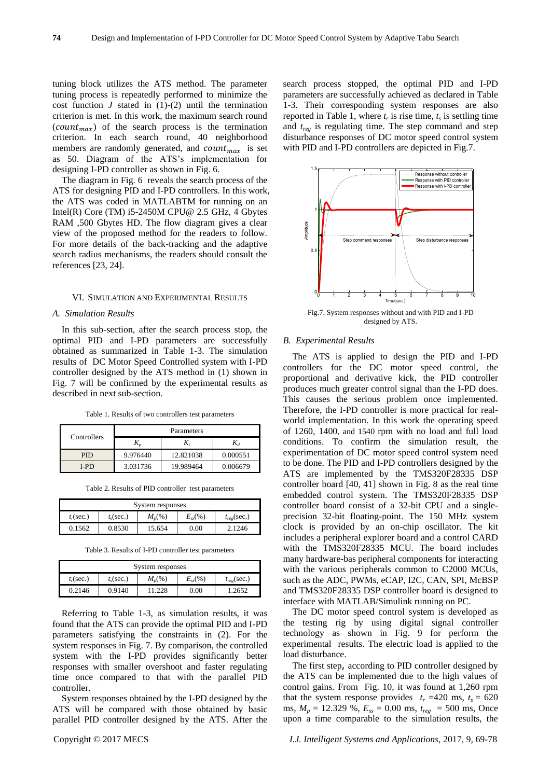tuning block utilizes the ATS method. The parameter tuning process is repeatedly performed to minimize the cost function  $J$  stated in  $(1)-(2)$  until the termination criterion is met. In this work, the maximum search round  $(count_{max})$  of the search process is the termination criterion. In each search round, 40 neighborhood members are randomly generated, and  $count_{max}$  is set as 50. Diagram of the ATS's implementation for designing I-PD controller as shown in Fig. 6.

The diagram in Fig. 6 reveals the search process of the ATS for designing PID and I-PD controllers. In this work, the ATS was coded in MATLABTM for running on an Intel(R) Core (TM)  $i5-2450M$  CPU@ 2.5 GHz, 4 Gbytes RAM ,500 Gbytes HD. The flow diagram gives a clear view of the proposed method for the readers to follow. For more details of the back-tracking and the adaptive search radius mechanisms, the readers should consult the references [23, 24].

#### VI. SIMULATION AND EXPERIMENTAL RESULTS

#### *A. Simulation Results*

In this sub-section, after the search process stop, the optimal PID and I-PD parameters are successfully obtained as summarized in Table 1-3. The simulation results of DC Motor Speed Controlled system with I-PD controller designed by the ATS method in (1) shown in Fig. 7 will be confirmed by the experimental results as described in next sub-section.

Table 1. Results of two controllers test parameters

| Controllers | Parameters   |           |          |  |
|-------------|--------------|-----------|----------|--|
|             | $\mathbf{I}$ |           |          |  |
| <b>PID</b>  | 9.976440     | 12.821038 | 0.000551 |  |
| <b>I-PD</b> | 3.031736     | 19.989464 | 0.006679 |  |

Table 2. Results of PID controller test parameters

| System responses   |                       |           |            |                  |  |  |
|--------------------|-----------------------|-----------|------------|------------------|--|--|
| $t_r(\text{sec.})$ | t <sub>s</sub> (sec.) | $M_{n}(%$ | $E_{ss}(%$ | $t_{reg}$ (sec.) |  |  |
| 0.1562             | 0.8530                | 15.654    | 0.00       | 2.1246           |  |  |

Table 3. Results of I-PD controller test parameters

| System responses   |                       |           |              |                        |  |  |
|--------------------|-----------------------|-----------|--------------|------------------------|--|--|
| $t_r(\text{sec.})$ | t <sub>s</sub> (sec.) | $M_{n}(%$ | $E_{ss}(\%)$ | $t_{reg}(\text{sec.})$ |  |  |
| 0.2146             | 0.9140                | 11.228    | 0.00         | 1.2652                 |  |  |

Referring to Table 1-3, as simulation results, it was found that the ATS can provide the optimal PID and I-PD parameters satisfying the constraints in (2). For the system responses in Fig. 7. By comparison, the controlled system with the I-PD provides significantly better responses with smaller overshoot and faster regulating time once compared to that with the parallel PID controller.

System responses obtained by the I-PD designed by the ATS will be compared with those obtained by basic parallel PID controller designed by the ATS. After the search process stopped, the optimal PID and I-PD parameters are successfully achieved as declared in Table 1-3. Their corresponding system responses are also reported in Table 1, where  $t_r$  is rise time,  $t_s$  is settling time and *treg* is regulating time. The step command and step disturbance responses of DC motor speed control system with PID and I-PD controllers are depicted in Fig.7.



designed by ATS.

#### *B. Experimental Results*

The ATS is applied to design the PID and I-PD controllers for the DC motor speed control, the proportional and derivative kick, the PID controller produces much greater control signal than the I-PD does. This causes the serious problem once implemented. Therefore, the I-PD controller is more practical for realworld implementation. In this work the operating speed of 1260, 1400, and 1540 rpm with no load and full load conditions. To confirm the simulation result, the experimentation of DC motor speed control system need to be done. The PID and I-PD controllers designed by the ATS are implemented by the TMS320F28335 DSP controller board [40, 41] shown in Fig. 8 as the real time embedded control system. The TMS320F28335 DSP controller board consist of a 32-bit CPU and a singleprecision 32-bit floating-point. The 150 MHz system clock is provided by an on-chip oscillator. The kit includes a peripheral explorer board and a control CARD with the TMS320F28335 MCU. The board includes many hardware-bas peripheral components for interacting with the various peripherals common to C2000 MCUs, such as the ADC, PWMs, eCAP, I2C, CAN, SPI, McBSP and TMS320F28335 DSP controller board is designed to interface with MATLAB/Simulink running on PC.

The DC motor speed control system is developed as the testing rig by using digital signal controller technology as shown in Fig. 9 for perform the experimental results. The electric load is applied to the load disturbance.

The first step, according to PID controller designed by the ATS can be implemented due to the high values of control gains. From Fig. 10, it was found at 1,260 rpm that the system response provides  $t_r = 420$  ms,  $t_s = 620$ ms,  $M_p = 12.329$  %,  $E_{ss} = 0.00$  ms,  $t_{reg} = 500$  ms, Once upon a time comparable to the simulation results, the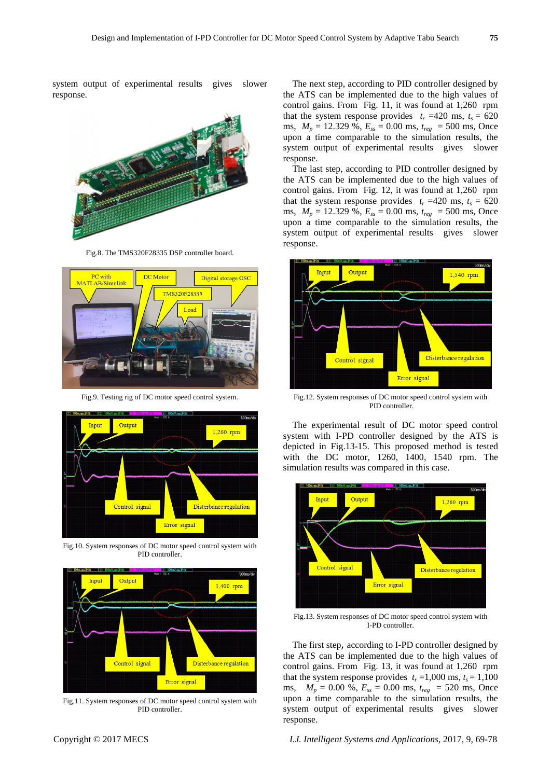system output of experimental results gives slower response.



Fig.8. The TMS320F28335 DSP controller board.



Fig.9. Testing rig of DC motor speed control system.



Fig.10. System responses of DC motor speed control system with PID controller.



Fig.11. System responses of DC motor speed control system with PID controller.

The next step, according to PID controller designed by the ATS can be implemented due to the high values of control gains. From Fig. 11, it was found at 1,260 rpm that the system response provides  $t_r = 420$  ms,  $t_s = 620$ ms,  $M_p = 12.329$  %,  $E_{ss} = 0.00$  ms,  $t_{rep} = 500$  ms, Once upon a time comparable to the simulation results, the system output of experimental results gives slower response.

The last step, according to PID controller designed by the ATS can be implemented due to the high values of control gains. From Fig. 12, it was found at 1,260 rpm that the system response provides  $t_r = 420$  ms,  $t_s = 620$ ms, *M<sup>p</sup>* = 12.329 %, *Ess* = 0.00 ms, *treg* = 500 ms, Once upon a time comparable to the simulation results, the system output of experimental results gives slower response.



Fig.12. System responses of DC motor speed control system with PID controller.

The experimental result of DC motor speed control system with I-PD controller designed by the ATS is depicted in Fig.13-15. This proposed method is tested with the DC motor, 1260, 1400, 1540 rpm. The simulation results was compared in this case.



Fig.13. System responses of DC motor speed control system with I-PD controller.

The first step, according to I-PD controller designed by the ATS can be implemented due to the high values of control gains. From Fig. 13, it was found at 1,260 rpm that the system response provides  $t_r = 1,000$  ms,  $t_s = 1,100$ ms,  $M_p = 0.00 %$ ,  $E_{ss} = 0.00$  ms,  $t_{reg} = 520$  ms, Once upon a time comparable to the simulation results, the system output of experimental results gives slower response.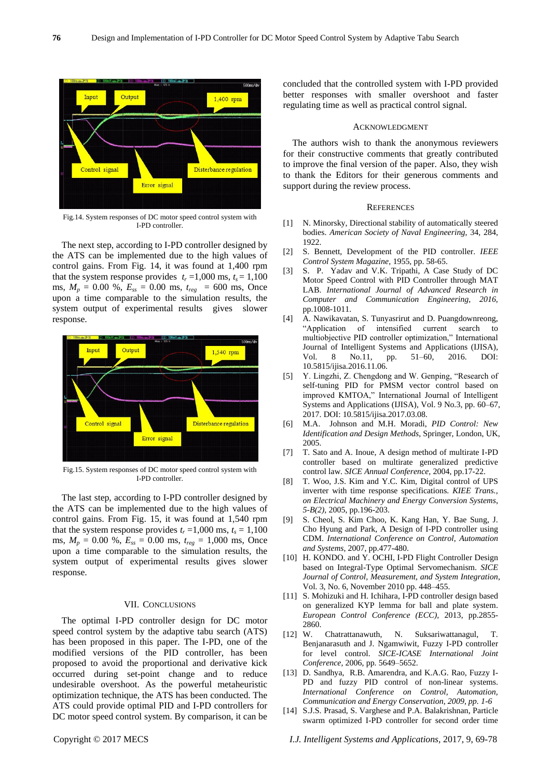

Fig.14. System responses of DC motor speed control system with I-PD controller.

The next step, according to I-PD controller designed by the ATS can be implemented due to the high values of control gains. From Fig. 14, it was found at 1,400 rpm that the system response provides  $t_r = 1,000$  ms,  $t_s = 1,100$ ms,  $M_p = 0.00 \%$ ,  $E_{ss} = 0.00$  ms,  $t_{reg} = 600$  ms, Once upon a time comparable to the simulation results, the system output of experimental results gives slower response.



Fig.15. System responses of DC motor speed control system with I-PD controller.

The last step, according to I-PD controller designed by the ATS can be implemented due to the high values of control gains. From Fig. 15, it was found at 1,540 rpm that the system response provides  $t_r = 1,000$  ms,  $t_s = 1,100$ ms,  $M_p = 0.00$  %,  $E_{ss} = 0.00$  ms,  $t_{reg} = 1,000$  ms, Once upon a time comparable to the simulation results, the system output of experimental results gives slower response.

#### VII. CONCLUSIONS

The optimal I-PD controller design for DC motor speed control system by the adaptive tabu search (ATS) has been proposed in this paper. The I-PD, one of the modified versions of the PID controller, has been proposed to avoid the proportional and derivative kick occurred during set-point change and to reduce undesirable overshoot. As the powerful metaheuristic optimization technique, the ATS has been conducted. The ATS could provide optimal PID and I-PD controllers for DC motor speed control system. By comparison, it can be concluded that the controlled system with I-PD provided better responses with smaller overshoot and faster regulating time as well as practical control signal.

#### ACKNOWLEDGMENT

The authors wish to thank the anonymous reviewers for their constructive comments that greatly contributed to improve the final version of the paper. Also, they wish to thank the Editors for their generous comments and support during the review process.

### **REFERENCES**

- [1] N. Minorsky, Directional stability of automatically steered bodies. *American Society of Naval Engineering*, 34, 284, 1922.
- [2] S. Bennett, Development of the PID controller. *IEEE Control System Magazine*, 1955, pp. 58-65.
- [3] S. P. Yadav and V.K. Tripathi, A Case Study of DC Motor Speed Control with PID Controller through MAT LAB. *International Journal of Advanced Research in Computer and Communication Engineering, 2016,*  pp.1008-1011.
- [4] A. Nawikavatan, S. Tunyasrirut and D. Puangdownreong, ―Application of intensified current search to multiobjective PID controller optimization," International Journal of Intelligent Systems and Applications (IJISA)*,*  Vol. 8 No.11, pp. 51–60, 2016. DOI: 10.5815/ijisa.2016.11.06.
- [5] Y. Lingzhi, Z. Chengdong and W. Genping, "Research of self-tuning PID for PMSM vector control based on improved KMTOA," International Journal of Intelligent Systems and Applications (IJISA)*,* Vol. 9 No.3, pp. 60–67, 2017. DOI: 10.5815/ijisa.2017.03.08.
- [6] M.A. Johnson and M.H. Moradi, *PID Control: New Identification and Design Methods*, Springer, London, UK, 2005.
- [7] T. Sato and A. Inoue, A design method of multirate I-PD controller based on multirate generalized predictive control law. *SICE Annual Conference,* 2004, pp.17-22.
- [8] T. Woo, J.S. Kim and Y.C. Kim, Digital control of UPS inverter with time response specifications. *KIEE Trans., on Electrical Machinery and Energy Conversion Systems*, *5-B(2),* 2005, pp.196-203.
- [9] S. Cheol, S. Kim Choo, K. Kang Han, Y. Bae Sung, J. Cho Hyung and Park, A Design of I-PD controller using CDM. *International Conference on Control, Automation and Systems,* 2007, pp.477-480.
- [10] H. KONDO. and Y. OCHI, I-PD Flight Controller Design based on Integral-Type Optimal Servomechanism. *SICE Journal of Control, Measurement, and System Integration*, Vol. 3, No. 6, November 2010 pp. 448–455.
- [11] S. Mohizuki and H. Ichihara, I-PD controller design based on generalized KYP lemma for ball and plate system. *European Control Conference (ECC),* 2013, pp.2855- 2860.
- [12] W. Chatrattanawuth, N. Suksariwattanagul, T. Benjanarasuth and J. Ngamwiwit, Fuzzy I-PD controller for level control. *SICE-ICASE International Joint Conference,* 2006, pp. 5649–5652.
- [13] D. Sandhya, R.B. Amarendra, and K.A.G. Rao, Fuzzy I-PD and fuzzy PID control of non-linear systems. *International Conference on Control, Automation, Communication and Energy Conservation, 2009, pp. 1-6*
- [14] S.J.S. Prasad, S. Varghese and P.A. Balakrishnan, Particle swarm optimized I-PD controller for second order time
- Copyright © 2017 MECS *I.J. Intelligent Systems and Applications,* 2017, 9, 69-78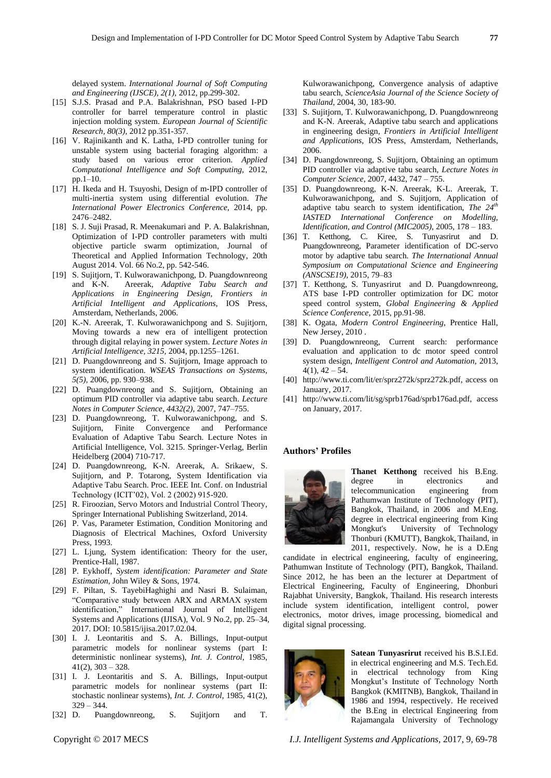delayed system. *International Journal of Soft Computing and Engineering (IJSCE), 2(1),* 2012, pp.299-302.

- [15] S.J.S. Prasad and P.A. Balakrishnan, PSO based I-PD controller for barrel temperature control in plastic injection molding system. *European Journal of Scientific Research, 80(3),* 2012 pp.351-357.
- [16] V. Rajinikanth and K. Latha, I-PD controller tuning for unstable system using bacterial foraging algorithm: a study based on various error criterion. *Applied Computational Intelligence and Soft Computing,* 2012, pp.1–10.
- [17] H. Ikeda and H. Tsuyoshi, Design of m-IPD controller of multi-inertia system using differential evolution. *The International Power Electronics Conference,* 2014, pp. 2476–2482.
- [18] S. J. Suji Prasad, R. Meenakumari and P. A. Balakrishnan, Optimization of I-PD controller parameters with multi objective particle swarm optimization, Journal of Theoretical and Applied Information Technology, 20th August 2014. Vol. 66 No.2, pp. 542-546.
- [19] S. Sujitjorn, T. Kulworawanichpong, D. Puangdownreong and K-N. Areerak, *Adaptive Tabu Search and Applications in Engineering Design, Frontiers in Artificial Intelligent and Applications*, IOS Press, Amsterdam, Netherlands, 2006.
- [20] K.-N. Areerak, T. Kulworawanichpong and S. Sujitjorn, Moving towards a new era of intelligent protection through digital relaying in power system. *Lecture Notes in Artificial Intelligence, 3215,* 2004, pp.1255–1261*.*
- [21] D. Puangdownreong and S. Sujitjorn, Image approach to system identification. *WSEAS Transactions on Systems, 5(5),* 2006, pp. 930–938.
- [22] D. Puangdownreong and S. Sujitjorn, Obtaining an optimum PID controller via adaptive tabu search. *Lecture Notes in Computer Science, 4432(2),* 2007, 747–755.
- [23] D. Puangdownreong, T. Kulworawanichpong, and S. Sujitjorn, Finite Convergence and Performance Evaluation of Adaptive Tabu Search. Lecture Notes in Artificial Intelligence, Vol. 3215. Springer-Verlag, Berlin Heidelberg (2004) 710-717.
- [24] D. Puangdownreong, K-N. Areerak, A. Srikaew, S. Sujitjorn, and P. Totarong, System Identification via Adaptive Tabu Search. Proc. IEEE Int. Conf. on Industrial Technology (ICIT'02), Vol. 2 (2002) 915-920.
- [25] R. Firoozian, Servo Motors and Industrial Control Theory, Springer International Publishing Switzerland, 2014.
- [26] P. Vas, Parameter Estimation, Condition Monitoring and Diagnosis of Electrical Machines, Oxford University Press, 1993.
- [27] L. Ljung, System identification: Theory for the user, Prentice-Hall, 1987.
- [28] P. Eykhoff, *System identification: Parameter and State Estimation*, John Wiley & Sons, 1974.
- [29] F. Piltan, S. TayebiHaghighi and Nasri B. Sulaiman, ―Comparative study between ARX and ARMAX system identification,‖ International Journal of Intelligent Systems and Applications (IJISA)*,* Vol. 9 No.2, pp. 25–34, 2017. DOI: 10.5815/ijisa.2017.02.04.
- [30] I. J. Leontaritis and S. A. Billings, Input-output parametric models for nonlinear systems (part I: deterministic nonlinear systems), *Int. J. Control*, 1985, 41(2), 303 – 328.
- [31] I. J. Leontaritis and S. A. Billings, Input-output parametric models for nonlinear systems (part II: stochastic nonlinear systems), *Int. J. Control*, 1985, 41(2), 329 – 344.
- [32] D. Puangdownreong, S. Sujitjorn and T.

Kulworawanichpong, Convergence analysis of adaptive tabu search, *ScienceAsia Journal of the Science Society of Thailand*, 2004, 30, 183-90.

- [33] S. Sujitjorn, T. Kulworawanichpong, D. Puangdownreong and K-N. Areerak, Adaptive tabu search and applications in engineering design, *Frontiers in Artificial Intelligent and Applications*, IOS Press, Amsterdam, Netherlands, 2006.
- [34] D. Puangdownreong, S. Sujitjorn, Obtaining an optimum PID controller via adaptive tabu search, *Lecture Notes in Computer Science*, 2007, 4432, 747 – 755.
- [35] D. Puangdownreong, K-N. Areerak, K-L. Areerak, T. Kulworawanichpong, and S. Sujitjorn, Application of adaptive tabu search to system identification, *The 24th IASTED International Conference on Modelling, Identification, and Control (MIC2005)*, 2005, 178 – 183.
- [36] T. Ketthong, C. Kiree, S. Tunyasrirut and D. Puangdownreong, Parameter identification of DC-servo motor by adaptive tabu search. *The International Annual Symposium on Computational Science and Engineering (ANSCSE19),* 2015, 79–83
- [37] T. Ketthong, S. Tunyasrirut and D. Puangdownreong, ATS base I-PD controller optimization for DC motor speed control system, *Global Engineering & Applied Science Conference*, 2015, pp.91-98.
- [38] K. Ogata, *Modern Control Engineering*, Prentice Hall, New Jersey, 2010 .
- [39] D. Puangdownreong, Current search: performance evaluation and application to dc motor speed control system design, *Intelligent Control and Automation*, 2013,  $4(1)$ ,  $42 - 54$ .
- [40] http://www.ti.com/lit/er/sprz272k/sprz272k.pdf, access on January, 2017.
- [41] http://www.ti.com/lit/sg/sprb176ad/sprb176ad.pdf, access on January, 2017.

## **Authors' Profiles**



**Thanet Ketthong** received his B.Eng. degree in electronics and telecommunication engineering from Pathumwan Institute of Technology (PIT), Bangkok, Thailand, in 2006 and M.Eng. degree in electrical engineering from King Mongkut's University of Technology Thonburi (KMUTT), Bangkok, Thailand, in 2011, respectively. Now, he is a D.Eng

candidate in electrical engineering, faculty of engineering, Pathumwan Institute of Technology (PIT), Bangkok, Thailand. Since 2012, he has been an the lecturer at Department of Electrical Engineering, Faculty of Engineering, Dhonburi Rajabhat University, Bangkok, Thailand. His research interests include system identification, intelligent control, power electronics, motor drives, image processing, biomedical and digital signal processing.



**Satean Tunyasrirut** received his B.S.I.Ed. in electrical engineering and M.S. Tech.Ed. in electrical technology from King Mongkut's Institute of Technology North Bangkok (KMITNB), Bangkok, Thailand in 1986 and 1994, respectively. He received the B.Eng in electrical Engineering from Rajamangala University of Technology

Copyright © 2017 MECS *I.J. Intelligent Systems and Applications,* 2017, 9, 69-78